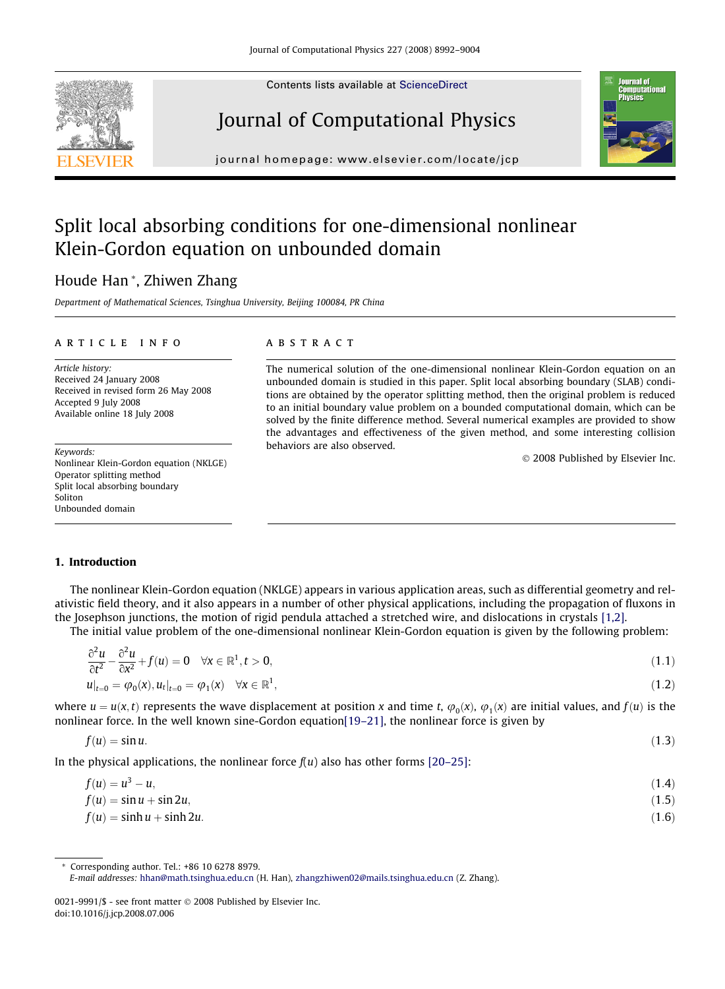Contents lists available at [ScienceDirect](http://www.sciencedirect.com/science/journal/00219991)

# Journal of Computational Physics

journal homepage: [www.elsevier.com/locate/jcp](http://www.elsevier.com/locate/jcp)

## Split local absorbing conditions for one-dimensional nonlinear Klein-Gordon equation on unbounded domain

## Houde Han \*, Zhiwen Zhang

Department of Mathematical Sciences, Tsinghua University, Beijing 100084, PR China

#### article info

Article history: Received 24 January 2008 Received in revised form 26 May 2008 Accepted 9 July 2008 Available online 18 July 2008

Keywords: Nonlinear Klein-Gordon equation (NKLGE) Operator splitting method Split local absorbing boundary Soliton Unbounded domain

## **ABSTRACT**

The numerical solution of the one-dimensional nonlinear Klein-Gordon equation on an unbounded domain is studied in this paper. Split local absorbing boundary (SLAB) conditions are obtained by the operator splitting method, then the original problem is reduced to an initial boundary value problem on a bounded computational domain, which can be solved by the finite difference method. Several numerical examples are provided to show the advantages and effectiveness of the given method, and some interesting collision behaviors are also observed.

- 2008 Published by Elsevier Inc.

### 1. Introduction

The nonlinear Klein-Gordon equation (NKLGE) appears in various application areas, such as differential geometry and relativistic field theory, and it also appears in a number of other physical applications, including the propagation of fluxons in the Josephson junctions, the motion of rigid pendula attached a stretched wire, and dislocations in crystals [\[1,2\]](#page-11-0).

The initial value problem of the one-dimensional nonlinear Klein-Gordon equation is given by the following problem:

$$
\frac{\partial^2 u}{\partial t^2} - \frac{\partial^2 u}{\partial x^2} + f(u) = 0 \quad \forall x \in \mathbb{R}^1, t > 0,
$$
  
\n
$$
u|_{t=0} = \varphi_0(x), u_t|_{t=0} = \varphi_1(x) \quad \forall x \in \mathbb{R}^1,
$$
\n(1.2)

where  $u = u(x, t)$  represents the wave displacement at position x and time t,  $\varphi_0(x), \varphi_1(x)$  are initial values, and  $f(u)$  is the nonlinear force. In the well known sine-Gordon equatio[n\[19–21\]](#page-12-0), the nonlinear force is given by

$$
f(u) = \sin u. \tag{1.3}
$$

In the physical applications, the nonlinear force  $f(u)$  also has other forms [\[20–25\]](#page-12-0):

| $f(u) = u^3 - u,$             | (1.4) |
|-------------------------------|-------|
| $f(u) = \sin u + \sin 2u,$    | (1.5) |
| $f(u) = \sinh u + \sinh 2u$ . | (1.6) |

Corresponding author. Tel.: +86 10 6278 8979. E-mail addresses: [hhan@math.tsinghua.edu.cn](mailto:hhan@math.tsinghua.edu.cn) (H. Han), [zhangzhiwen02@mails.tsinghua.edu.cn](mailto:zhangzhiwen02@mails.tsinghua.edu.cn) (Z. Zhang).

<span id="page-0-0"></span>



<sup>0021-9991/\$ -</sup> see front matter © 2008 Published by Elsevier Inc. doi:10.1016/j.jcp.2008.07.006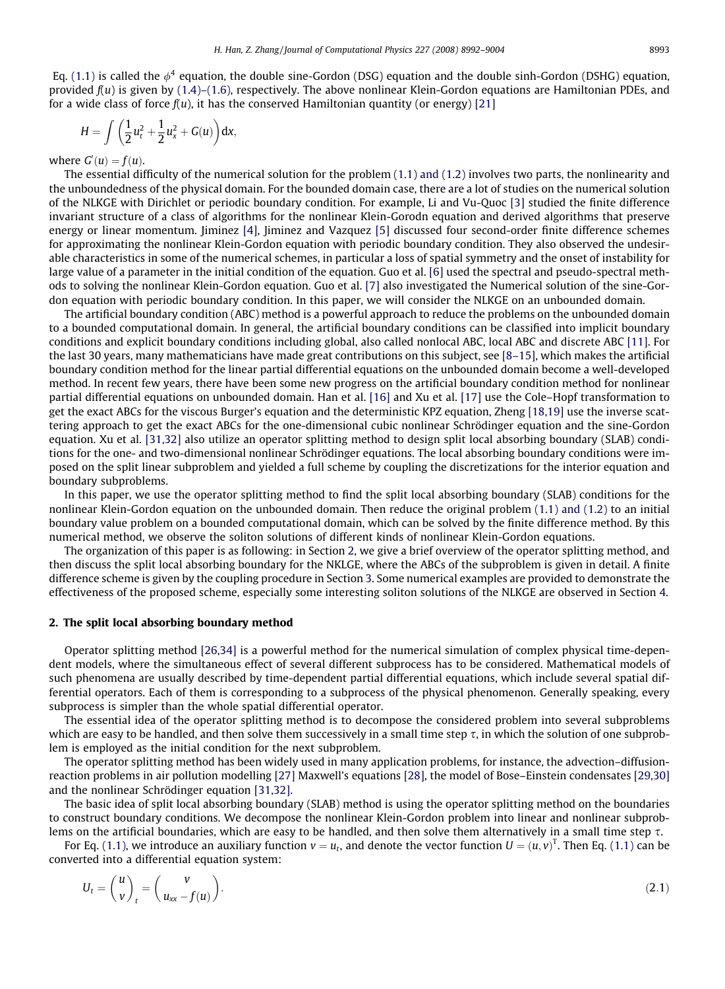<span id="page-1-0"></span>Eq. [\(1.1\)](#page-0-0) is called the  $\phi^4$  equation, the double sine-Gordon (DSG) equation and the double sinh-Gordon (DSHG) equation, provided  $f(u)$  is given by [\(1.4\)–\(1.6\)](#page-0-0), respectively. The above nonlinear Klein-Gordon equations are Hamiltonian PDEs, and for a wide class of force  $f(u)$ , it has the conserved Hamiltonian quantity (or energy) [\[21\]](#page-12-0)

$$
H=\int\bigg(\frac{1}{2}u_t^2+\frac{1}{2}u_x^2+G(u)\bigg)dx,
$$

where  $G'(u) = f(u)$ .

The essential difficulty of the numerical solution for the problem [\(1.1\) and \(1.2\)](#page-0-0) involves two parts, the nonlinearity and the unboundedness of the physical domain. For the bounded domain case, there are a lot of studies on the numerical solution of the NLKGE with Dirichlet or periodic boundary condition. For example, Li and Vu-Quoc [\[3\]](#page-11-0) studied the finite difference invariant structure of a class of algorithms for the nonlinear Klein-Gorodn equation and derived algorithms that preserve energy or linear momentum. Jiminez [\[4\]](#page-11-0), Jiminez and Vazquez [\[5\]](#page-12-0) discussed four second-order finite difference schemes for approximating the nonlinear Klein-Gordon equation with periodic boundary condition. They also observed the undesirable characteristics in some of the numerical schemes, in particular a loss of spatial symmetry and the onset of instability for large value of a parameter in the initial condition of the equation. Guo et al. [\[6\]](#page-12-0) used the spectral and pseudo-spectral methods to solving the nonlinear Klein-Gordon equation. Guo et al. [\[7\]](#page-12-0) also investigated the Numerical solution of the sine-Gordon equation with periodic boundary condition. In this paper, we will consider the NLKGE on an unbounded domain.

The artificial boundary condition (ABC) method is a powerful approach to reduce the problems on the unbounded domain to a bounded computational domain. In general, the artificial boundary conditions can be classified into implicit boundary conditions and explicit boundary conditions including global, also called nonlocal ABC, local ABC and discrete ABC [\[11\].](#page-12-0) For the last 30 years, many mathematicians have made great contributions on this subject, see [\[8–15\]](#page-12-0), which makes the artificial boundary condition method for the linear partial differential equations on the unbounded domain become a well-developed method. In recent few years, there have been some new progress on the artificial boundary condition method for nonlinear partial differential equations on unbounded domain. Han et al. [\[16\]](#page-12-0) and Xu et al. [\[17\]](#page-12-0) use the Cole–Hopf transformation to get the exact ABCs for the viscous Burger's equation and the deterministic KPZ equation, Zheng [\[18,19\]](#page-12-0) use the inverse scattering approach to get the exact ABCs for the one-dimensional cubic nonlinear Schrödinger equation and the sine-Gordon equation. Xu et al. [\[31,32\]](#page-12-0) also utilize an operator splitting method to design split local absorbing boundary (SLAB) conditions for the one- and two-dimensional nonlinear Schrödinger equations. The local absorbing boundary conditions were imposed on the split linear subproblem and yielded a full scheme by coupling the discretizations for the interior equation and boundary subproblems.

In this paper, we use the operator splitting method to find the split local absorbing boundary (SLAB) conditions for the nonlinear Klein-Gordon equation on the unbounded domain. Then reduce the original problem [\(1.1\) and \(1.2\)](#page-0-0) to an initial boundary value problem on a bounded computational domain, which can be solved by the finite difference method. By this numerical method, we observe the soliton solutions of different kinds of nonlinear Klein-Gordon equations.

The organization of this paper is as following: in Section 2, we give a brief overview of the operator splitting method, and then discuss the split local absorbing boundary for the NKLGE, where the ABCs of the subproblem is given in detail. A finite difference scheme is given by the coupling procedure in Section 3. Some numerical examples are provided to demonstrate the effectiveness of the proposed scheme, especially some interesting soliton solutions of the NLKGE are observed in Section 4.

#### 2. The split local absorbing boundary method

Operator splitting method [\[26,34\]](#page-12-0) is a powerful method for the numerical simulation of complex physical time-dependent models, where the simultaneous effect of several different subprocess has to be considered. Mathematical models of such phenomena are usually described by time-dependent partial differential equations, which include several spatial differential operators. Each of them is corresponding to a subprocess of the physical phenomenon. Generally speaking, every subprocess is simpler than the whole spatial differential operator.

The essential idea of the operator splitting method is to decompose the considered problem into several subproblems which are easy to be handled, and then solve them successively in a small time step  $\tau$ , in which the solution of one subproblem is employed as the initial condition for the next subproblem.

The operator splitting method has been widely used in many application problems, for instance, the advection–diffusionreaction problems in air pollution modelling [\[27\]](#page-12-0) Maxwell's equations [\[28\],](#page-12-0) the model of Bose–Einstein condensates [\[29,30\]](#page-12-0) and the nonlinear Schrödinger equation [\[31,32\].](#page-12-0)

The basic idea of split local absorbing boundary (SLAB) method is using the operator splitting method on the boundaries to construct boundary conditions. We decompose the nonlinear Klein-Gordon problem into linear and nonlinear subproblems on the artificial boundaries, which are easy to be handled, and then solve them alternatively in a small time step  $\tau$ .

For Eq. [\(1.1\)](#page-0-0), we introduce an auxiliary function  $v=u_t$ , and denote the vector function  $U=(u,v)^T$ . Then Eq. (1.1) can be converted into a differential equation system:

$$
U_t = \begin{pmatrix} u \\ v \end{pmatrix}_t = \begin{pmatrix} v \\ u_{xx} - f(u) \end{pmatrix}.
$$
 (2.1)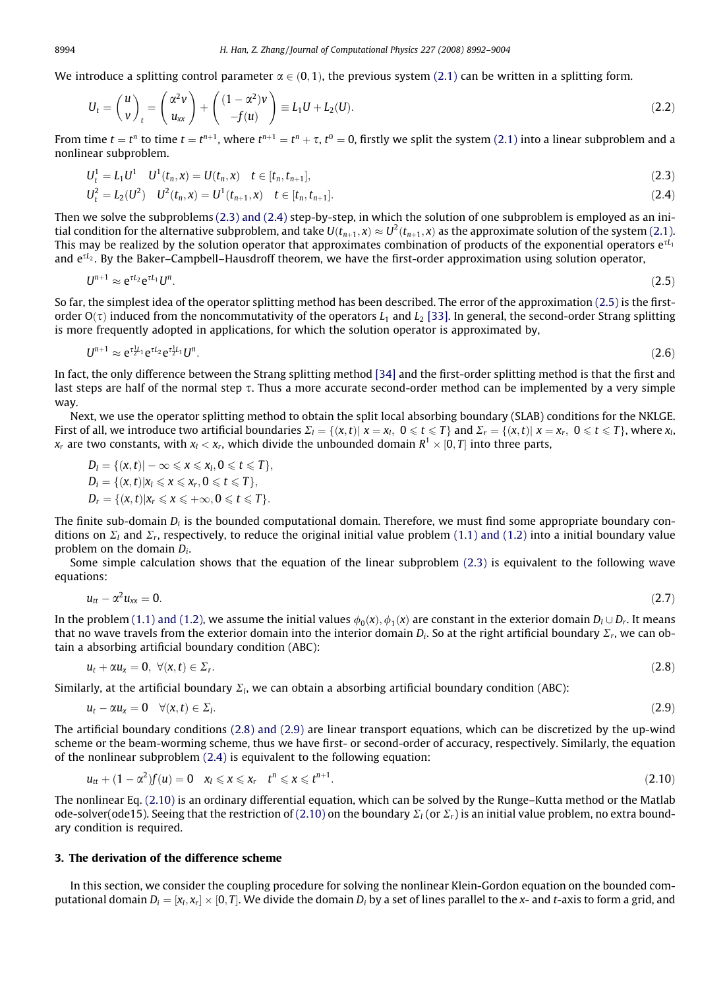<span id="page-2-0"></span>We introduce a splitting control parameter  $\alpha \in (0, 1)$ , the previous system [\(2.1\)](#page-1-0) can be written in a splitting form.

$$
U_t = \begin{pmatrix} u \\ v \end{pmatrix}_t = \begin{pmatrix} \alpha^2 v \\ u_{xx} \end{pmatrix} + \begin{pmatrix} (1 - \alpha^2)v \\ -f(u) \end{pmatrix} \equiv L_1 U + L_2(U). \tag{2.2}
$$

From time  $t = t^n$  to time  $t = t^{n+1}$ , where  $t^{n+1} = t^n + \tau$ ,  $t^0 = 0$ , firstly we split the system [\(2.1\)](#page-1-0) into a linear subproblem and a nonlinear subproblem.

$$
U_t^1 = L_1 U^1 \t U^1(t_n, x) = U(t_n, x) \t t \in [t_n, t_{n+1}],
$$
\n(2.3)

$$
U_t^2 = L_2(U^2) \t U^2(t_n, x) = U^1(t_{n+1}, x) \t t \in [t_n, t_{n+1}].
$$
\n(2.4)

Then we solve the subproblems (2.3) and (2.4) step-by-step, in which the solution of one subproblem is employed as an initial condition for the alternative subproblem, and take  $U(t_{n+1},x)\approx U^2(t_{n+1},x)$  as the approximate solution of the system [\(2.1\)](#page-1-0). This may be realized by the solution operator that approximates combination of products of the exponential operators  $e^{\tau L_1}$ and  $e^{\tau L_2}$ . By the Baker–Campbell–Hausdroff theorem, we have the first-order approximation using solution operator,

$$
U^{n+1} \approx e^{\tau L_2} e^{\tau L_1} U^n. \tag{2.5}
$$

So far, the simplest idea of the operator splitting method has been described. The error of the approximation (2.5) is the firstorder  $O(\tau)$  induced from the noncommutativity of the operators  $L_1$  and  $L_2$  [\[33\].](#page-12-0) In general, the second-order Strang splitting is more frequently adopted in applications, for which the solution operator is approximated by,

$$
U^{n+1} \approx e^{\tau \frac{1}{2}L_1} e^{\tau L_2} e^{\tau \frac{1}{2}L_1} U^n. \tag{2.6}
$$

In fact, the only difference between the Strang splitting method [\[34\]](#page-12-0) and the first-order splitting method is that the first and last steps are half of the normal step  $\tau$ . Thus a more accurate second-order method can be implemented by a very simple way.

Next, we use the operator splitting method to obtain the split local absorbing boundary (SLAB) conditions for the NKLGE. First of all, we introduce two artificial boundaries  $\Sigma_l = \{(x, t) | x = x_l, 0 \le t \le T\}$  and  $\Sigma_r = \{(x, t) | x = x_r, 0 \le t \le T\}$ , where  $x_l$ ,  $x_r$  are two constants, with  $x_l < x_r$ , which divide the unbounded domain  $R^1 \times [0, T]$  into three parts,

$$
D_l = \{ (x, t) | -\infty \le x \le x_l, 0 \le t \le T \},
$$
  
\n
$$
D_i = \{ (x, t) | x_l \le x \le x_r, 0 \le t \le T \},
$$
  
\n
$$
D_r = \{ (x, t) | x_r \le x \le +\infty, 0 \le t \le T \}.
$$

The finite sub-domain  $D_i$  is the bounded computational domain. Therefore, we must find some appropriate boundary conditions on  $\Sigma_l$  and  $\Sigma_r$ , respectively, to reduce the original initial value problem [\(1.1\) and \(1.2\)](#page-0-0) into a initial boundary value problem on the domain  $D_i$ .

Some simple calculation shows that the equation of the linear subproblem (2.3) is equivalent to the following wave equations:

$$
u_{tt} - \alpha^2 u_{xx} = 0. \tag{2.7}
$$

In the problem [\(1.1\) and \(1.2\)](#page-0-0), we assume the initial values  $\phi_0(x), \phi_1(x)$  are constant in the exterior domain  $D_l \cup D_r$ . It means that no wave travels from the exterior domain into the interior domain  $D_i$ . So at the right artificial boundary  $\Sigma_r$ , we can obtain a absorbing artificial boundary condition (ABC):

$$
u_t + \alpha u_x = 0, \ \forall (x, t) \in \Sigma_t.
$$
\n
$$
(2.8)
$$

Similarly, at the artificial boundary  $\Sigma_l$ , we can obtain a absorbing artificial boundary condition (ABC):

$$
u_t - \alpha u_x = 0 \quad \forall (x, t) \in \Sigma_1. \tag{2.9}
$$

The artificial boundary conditions (2.8) and (2.9) are linear transport equations, which can be discretized by the up-wind scheme or the beam-worming scheme, thus we have first- or second-order of accuracy, respectively. Similarly, the equation of the nonlinear subproblem (2.4) is equivalent to the following equation:

$$
u_{tt} + (1 - \alpha^2) f(u) = 0 \quad x_l \leq x \leq x_r \quad t^n \leq x \leq t^{n+1}.
$$
\n(2.10)

The nonlinear Eq. (2.10) is an ordinary differential equation, which can be solved by the Runge–Kutta method or the Matlab ode-solver(ode15). Seeing that the restriction of (2.10) on the boundary  $\Sigma_l$  (or  $\Sigma_r$ ) is an initial value problem, no extra boundary condition is required.

## 3. The derivation of the difference scheme

In this section, we consider the coupling procedure for solving the nonlinear Klein-Gordon equation on the bounded computational domain  $D_i = [x_i, x_r] \times [0, T]$ . We divide the domain  $D_i$  by a set of lines parallel to the x- and t-axis to form a grid, and

$$
f_{\rm{max}}
$$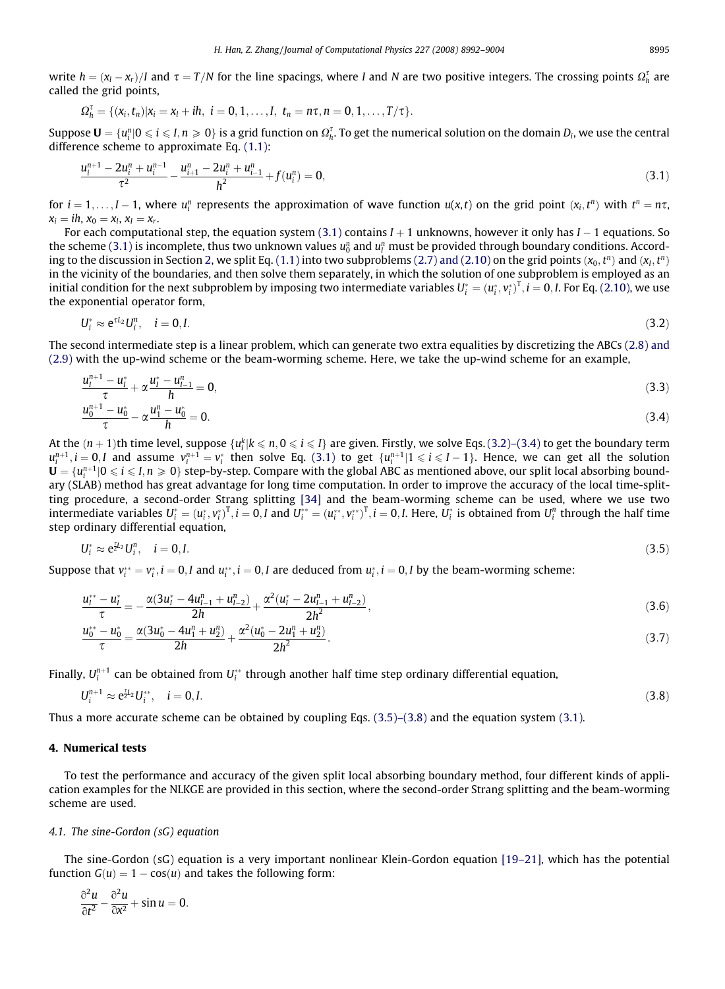<span id="page-3-0"></span>write  $h=(x_l-x_r)/I$  and  $\tau=T/N$  for the line spacings, where I and N are two positive integers. The crossing points  $\Omega_h^{\tau}$  are called the grid points,

$$
\Omega_h^\tau=\{(x_i,t_n)|x_i=x_l+ih,\ i=0,1,\ldots,I,\ t_n=n\tau,n=0,1,\ldots,T/\tau\}.
$$

Suppose  $\mathbf{U}=\{u_i^n|0\leqslant i\leqslant I,n\geqslant 0\}$  is a grid function on  $\Omega_h^\tau$ . To get the numerical solution on the domain  $D_i$ , we use the central difference scheme to approximate Eq. [\(1.1\):](#page-0-0)

$$
\frac{u_i^{n+1} - 2u_i^n + u_i^{n-1}}{\tau^2} - \frac{u_{i+1}^n - 2u_i^n + u_{i-1}^n}{h^2} + f(u_i^n) = 0,
$$
\n(3.1)

for  $i = 1, \ldots, I-1$ , where  $u_i^n$  represents the approximation of wave function  $u(x,t)$  on the grid point  $(x_i, t^n)$  with  $t^n = n\tau$ ,  $x_i = ih, x_0 = x_l, x_i = x_r.$ 

For each computational step, the equation system (3.1) contains  $I+1$  unknowns, however it only has  $I-1$  equations. So the scheme (3.1) is incomplete, thus two unknown values  $u_0^n$  and  $u_l^n$  must be provided through boundary conditions. Accord-ing to the discussion in Section 2, we split Eq. [\(1.1\)](#page-0-0) into two subproblems [\(2.7\) and \(2.10\)](#page-2-0) on the grid points  $(x_0, t^n)$  and  $(x_1, t^n)$ in the vicinity of the boundaries, and then solve them separately, in which the solution of one subproblem is employed as an initial condition for the next subproblem by imposing two intermediate variables  $U^*_i=(u^*_i,v^*_i)^T$ ,  $i=0, I$ . For Eq. [\(2.10\)](#page-2-0), we use the exponential operator form,

$$
U_i^* \approx e^{\tau L_2} U_i^n, \quad i = 0, I. \tag{3.2}
$$

The second intermediate step is a linear problem, which can generate two extra equalities by discretizing the ABCs [\(2.8\) and](#page-2-0) [\(2.9\)](#page-2-0) with the up-wind scheme or the beam-worming scheme. Here, we take the up-wind scheme for an example,

$$
\frac{u_l^{n+1} - u_l^*}{\tau} + \alpha \frac{u_l^* - u_{l-1}^n}{h} = 0,\tag{3.3}
$$

$$
\frac{u_0^{n+1} - u_0^*}{\tau} - \alpha \frac{u_1^n - u_0^*}{h} = 0. \tag{3.4}
$$

At the  $(n+1)$ th time level, suppose  $\{u_i^k | k \leqslant n, 0\leqslant i\leqslant I\}$  are given. Firstly, we solve Eqs.(3.2)–(3.4) to get the boundary term  $u_i^{n+1}, i = 0, I$  and assume  $v_i^{n+1} = v_i^*$  then solve Eq. (3.1) to get  $\{u_i^{n+1} | 1 \leq i \leq I-1\}$ . Hence, we can get all the solution  $\mathbf{U}=\{u_i^{n+1}|0\leqslant i\leqslant I,n\geqslant 0\}$  step-by-step. Compare with the global ABC as mentioned above, our split local absorbing boundary (SLAB) method has great advantage for long time computation. In order to improve the accuracy of the local time-splitting procedure, a second-order Strang splitting [\[34\]](#page-12-0) and the beam-worming scheme can be used, where we use two intermediate variables  $U^*_i=(u^*_i,v^*_i)^T$ ,  $i=0, I$  and  $U^{**}_i=(u^{**}_i,v^{**}_i)^T$ ,  $i=0, I$ . Here,  $U^*_i$  is obtained from  $U^n_i$  through the half time step ordinary differential equation,

$$
U_i^* \approx e^{\frac{\tau_i}{2}L} U_i^n, \quad i = 0, I. \tag{3.5}
$$

Suppose that  $v_i^{**} = v_i^*, i = 0, I$  and  $u_i^{**}, i = 0, I$  are deduced from  $u_i^*, i = 0, I$  by the beam-worming scheme:

$$
\frac{u_l^{**}-u_l^*}{\tau}=-\frac{\alpha(3u_l^*-4u_{l-1}^n+u_{l-2}^n)}{2h}+\frac{\alpha^2(u_l^*-2u_{l-1}^n+u_{l-2}^n)}{2h^2},
$$
\n(3.6)

$$
\frac{u_0^{**}-u_0^*}{\tau}=\frac{\alpha(3u_0^*-4u_1^n+u_2^n)}{2h}+\frac{\alpha^2(u_0^*-2u_1^n+u_2^n)}{2h^2}.
$$
\n(3.7)

Finally,  $U_i^{n+1}$  can be obtained from  $U_i^\ast$  through another half time step ordinary differential equation,

$$
U_i^{n+1} \approx e^{\frac{\pi}{2}L_2} U_i^{**}, \quad i = 0, I. \tag{3.8}
$$

Thus a more accurate scheme can be obtained by coupling Eqs.  $(3.5)$ – $(3.8)$  and the equation system  $(3.1)$ .

### 4. Numerical tests

 $n+1$ 

To test the performance and accuracy of the given split local absorbing boundary method, four different kinds of application examples for the NLKGE are provided in this section, where the second-order Strang splitting and the beam-worming scheme are used.

#### 4.1. The sine-Gordon (sG) equation

The sine-Gordon (sG) equation is a very important nonlinear Klein-Gordon equation [\[19–21\],](#page-12-0) which has the potential function  $G(u) = 1 - \cos(u)$  and takes the following form:

$$
\frac{\partial^2 u}{\partial t^2} - \frac{\partial^2 u}{\partial x^2} + \sin u = 0.
$$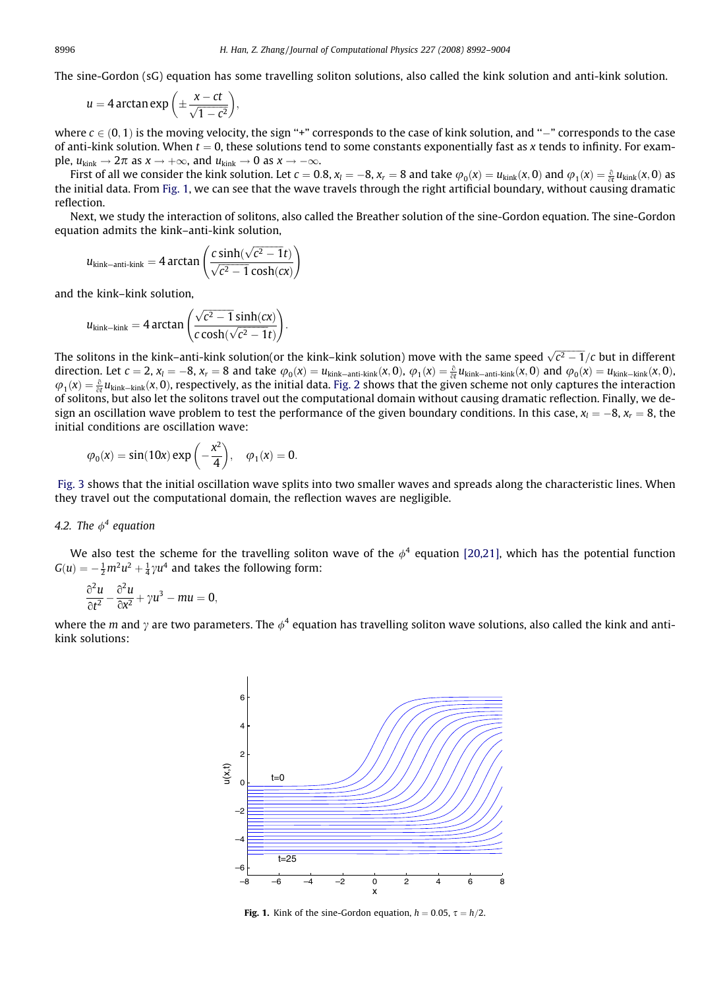The sine-Gordon (sG) equation has some travelling soliton solutions, also called the kink solution and anti-kink solution.

$$
u=4\arctan\exp\left(\pm\frac{x-ct}{\sqrt{1-c^2}}\right),\,
$$

where  $c\in (0,1)$  is the moving velocity, the sign "+" corresponds to the case of kink solution, and "–" corresponds to the case of anti-kink solution. When  $t = 0$ , these solutions tend to some constants exponentially fast as x tends to infinity. For example,  $u_{\text{kink}} \to 2\pi$  as  $x \to +\infty$ , and  $u_{\text{kink}} \to 0$  as  $x \to -\infty$ .

First of all we consider the kink solution. Let  $c = 0.8$ ,  $x_l = -8$ ,  $x_r = 8$  and take  $\varphi_0(x) = u_{\rm kink}(x, 0)$  and  $\varphi_1(x) = \frac{\partial}{\partial t} u_{\rm kink}(x, 0)$  as the initial data. From Fig. 1, we can see that the wave travels through the right artificial boundary, without causing dramatic reflection.

Next, we study the interaction of solitons, also called the Breather solution of the sine-Gordon equation. The sine-Gordon equation admits the kink–anti-kink solution,

$$
u_{\text{kink-anti-kink}} = 4 \arctan \left( \frac{c \sinh(\sqrt{c^2 - 1}t)}{\sqrt{c^2 - 1} \cosh(cx)} \right)
$$

and the kink–kink solution,

$$
u_{\text{kink}-\text{kink}} = 4 \arctan \left( \frac{\sqrt{c^2 - 1} \sinh(cx)}{c \cosh(\sqrt{c^2 - 1}t)} \right).
$$

The solitons in the kink–anti-kink solution(or the kink–kink solution) move with the same speed  $\sqrt{c^2-1}/c$  but in different direction. Let  $c = 2$ ,  $x_l = -8$ ,  $x_r = 8$  and take  $\varphi_0(x) = u_{\text{kink}-\text{ant-kink}}(x,0)$ ,  $\varphi_1(x) = \frac{\partial}{\partial t} u_{\text{kink}-\text{ant-kink}}(x,0)$  and  $\varphi_0(x) = u_{\text{kink}-\text{kink}}(x,0)$ .  $\varphi_1(x) = \frac{\partial}{\partial t} u_{\text{kink}-\text{kink}}(x,0)$ , respectively, as the initial data. [Fig. 2](#page-5-0) shows that the given scheme not only captures the interaction of solitons, but also let the solitons travel out the computational domain without causing dramatic reflection. Finally, we design an oscillation wave problem to test the performance of the given boundary conditions. In this case,  $x_l=-8$ ,  $x_r=8$ , the initial conditions are oscillation wave:

$$
\phi_0(x)=sin(10x)\,exp\left(-\frac{x^2}{4}\right),\quad \phi_1(x)=0.
$$

[Fig. 3](#page-5-0) shows that the initial oscillation wave splits into two smaller waves and spreads along the characteristic lines. When they travel out the computational domain, the reflection waves are negligible.

## 4.2. The  $\phi^4$  equation

We also test the scheme for the travelling soliton wave of the  $\phi^4$  equation [\[20,21\]](#page-12-0), which has the potential function  $G(u) = -\frac{1}{2}m^2u^2 + \frac{1}{4}\gamma u^4$  and takes the following form:

$$
\frac{\partial^2 u}{\partial t^2} - \frac{\partial^2 u}{\partial x^2} + \gamma u^3 - mu = 0,
$$

where the m and  $\gamma$  are two parameters. The  $\phi^4$  equation has travelling soliton wave solutions, also called the kink and antikink solutions:



**Fig. 1.** Kink of the sine-Gordon equation,  $h = 0.05$ ,  $\tau = h/2$ .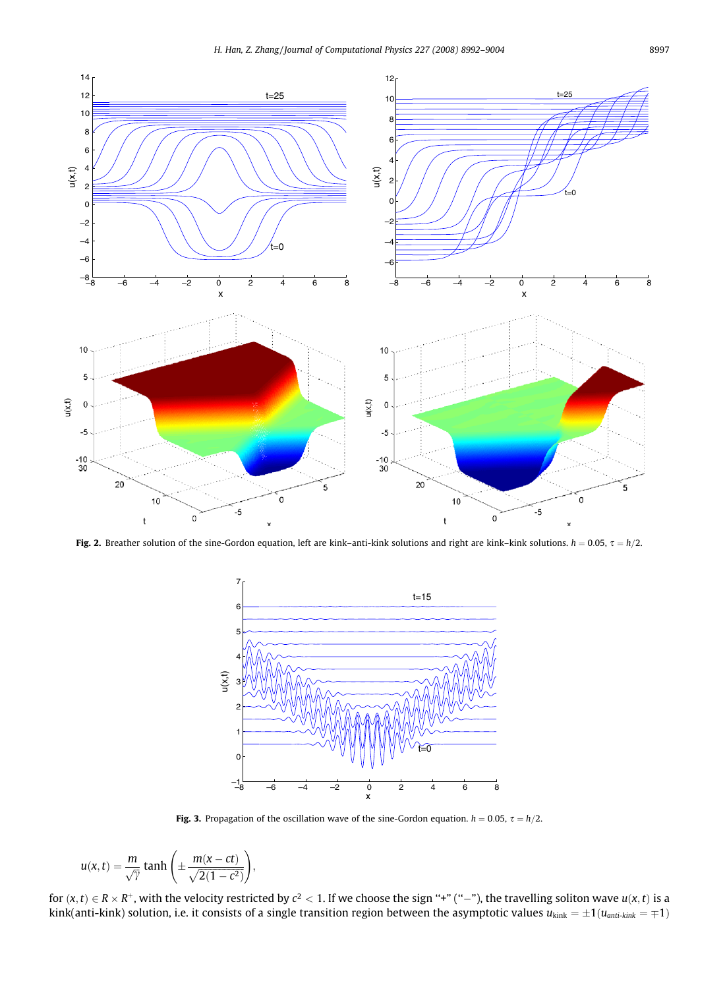<span id="page-5-0"></span>

Fig. 2. Breather solution of the sine-Gordon equation, left are kink–anti-kink solutions and right are kink–kink solutions.  $h = 0.05$ ,  $\tau = h/2$ .



Fig. 3. Propagation of the oscillation wave of the sine-Gordon equation.  $h = 0.05$ ,  $\tau = h/2$ .

$$
u(x,t) = \frac{m}{\sqrt{\gamma}} \tanh\left(\pm \frac{m(x-ct)}{\sqrt{2(1-c^2)}}\right),\,
$$

for  $(x,t)\in R\times R^+$ , with the velocity restricted by  $c^2< 1$ . If we choose the sign "+" ("-"), the travelling soliton wave  $u(x,t)$  is a kink(anti-kink) solution, i.e. it consists of a single transition region between the asymptotic values  $u_{\text{kink}} = \pm 1(u_{\text{anti-kink}} = \mp 1)$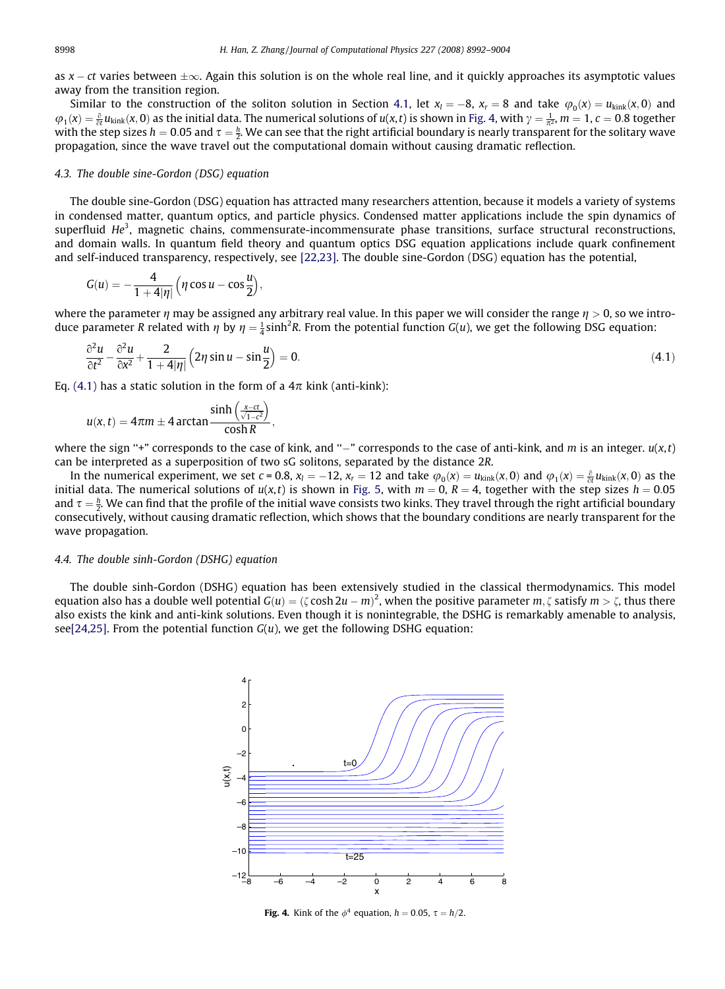<span id="page-6-0"></span>as x – ct varies between  $\pm\infty$ . Again this solution is on the whole real line, and it quickly approaches its asymptotic values away from the transition region.

Similar to the construction of the soliton solution in Section 4.1, let  $x_l = -8$ ,  $x_r = 8$  and take  $\varphi_0(x) = u_{\text{kink}}(x,0)$  and  $\varphi_1(x) = \frac{\partial}{\partial t} u_{\text{kink}}(x,0)$  as the initial data. The numerical solutions of  $u(x,t)$  is shown in Fig. 4, with  $\gamma = \frac{1}{\pi^2}$ ,  $m = 1$ ,  $c = 0.8$  together with the step sizes  $h=0.05$  and  $\tau=\frac{h}{2}$ . We can see that the right artificial boundary is nearly transparent for the solitary wave propagation, since the wave travel out the computational domain without causing dramatic reflection.

#### 4.3. The double sine-Gordon (DSG) equation

The double sine-Gordon (DSG) equation has attracted many researchers attention, because it models a variety of systems in condensed matter, quantum optics, and particle physics. Condensed matter applications include the spin dynamics of superfluid  $He<sup>3</sup>$ , magnetic chains, commensurate-incommensurate phase transitions, surface structural reconstructions, and domain walls. In quantum field theory and quantum optics DSG equation applications include quark confinement and self-induced transparency, respectively, see [\[22,23\].](#page-12-0) The double sine-Gordon (DSG) equation has the potential,

$$
G(u)=-\frac{4}{1+4|\eta|}\Big(\eta\cos u-\cos\frac{u}{2}\Big),
$$

where the parameter  $\eta$  may be assigned any arbitrary real value. In this paper we will consider the range  $\eta > 0$ , so we introduce parameter R related with  $\eta$  by  $\eta=\frac{1}{4}\sinh^2 R$ . From the potential function G(u), we get the following DSG equation:

$$
\frac{\partial^2 u}{\partial t^2} - \frac{\partial^2 u}{\partial x^2} + \frac{2}{1 + 4|\eta|} \left( 2\eta \sin u - \sin \frac{u}{2} \right) = 0. \tag{4.1}
$$

Eq. (4.1) has a static solution in the form of a  $4\pi$  kink (anti-kink):

$$
u(x,t)=4\pi m\pm 4\arctan\frac{\sinh\left(\frac{x-ct}{\sqrt{1-c^2}}\right)}{\cosh R},
$$

where the sign "+" corresponds to the case of kink, and "-" corresponds to the case of anti-kink, and m is an integer.  $u(x,t)$ can be interpreted as a superposition of two sG solitons, separated by the distance 2R.

In the numerical experiment, we set  $c = 0.8$ ,  $x_l = -12$ ,  $x_r = 12$  and take  $\varphi_0(x) = u_{\text{kink}}(x, 0)$  and  $\varphi_1(x) = \frac{\partial}{\partial t} u_{\text{kink}}(x, 0)$  as the initial data. The numerical solutions of  $u(x,t)$  is shown in [Fig. 5](#page-7-0), with  $m = 0$ ,  $R = 4$ , together with the step sizes  $h = 0.05$ and  $\tau = \frac{h}{2}$ . We can find that the profile of the initial wave consists two kinks. They travel through the right artificial boundary consecutively, without causing dramatic reflection, which shows that the boundary conditions are nearly transparent for the wave propagation.

#### 4.4. The double sinh-Gordon (DSHG) equation

The double sinh-Gordon (DSHG) equation has been extensively studied in the classical thermodynamics. This model equation also has a double well potential  $G(u)=(\zeta\cosh 2u-m)^2,$  when the positive parameter  $m,\zeta$  satisfy  $m>\zeta,$  thus there also exists the kink and anti-kink solutions. Even though it is nonintegrable, the DSHG is remarkably amenable to analysis, se[e\[24,25\]](#page-12-0). From the potential function  $G(u)$ , we get the following DSHG equation:



Fig. 4. Kink of the  $\phi^4$  equation,  $h = 0.05$ ,  $\tau = h/2$ .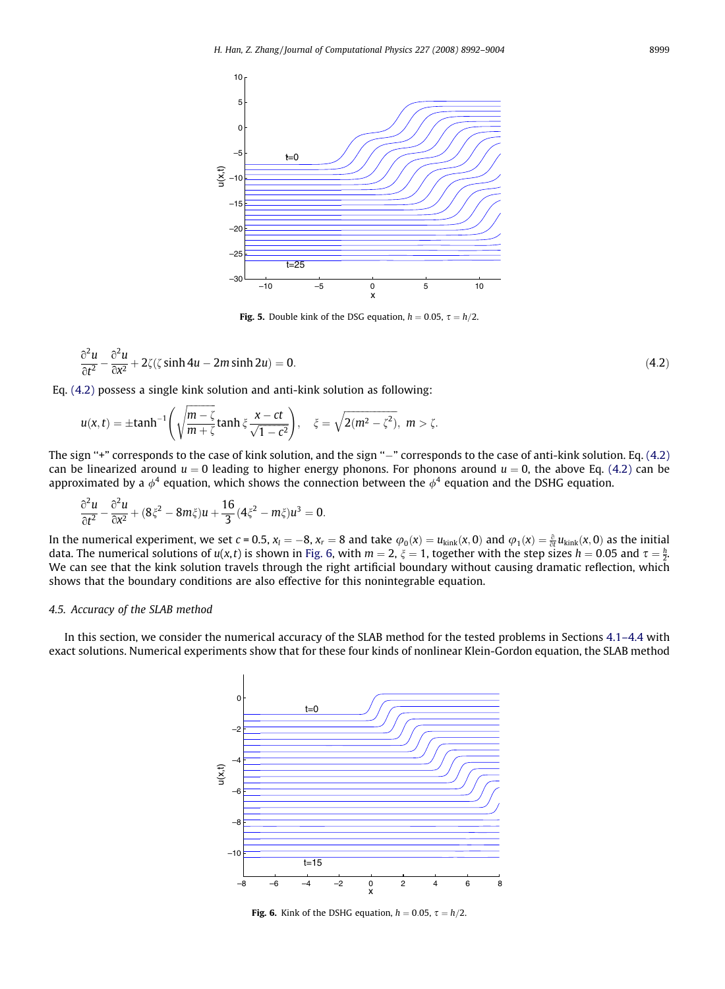<span id="page-7-0"></span>

**Fig. 5.** Double kink of the DSG equation,  $h = 0.05$ ,  $\tau = h/2$ .

$$
\frac{\partial^2 u}{\partial t^2} - \frac{\partial^2 u}{\partial x^2} + 2\zeta(\zeta \sinh 4u - 2m \sinh 2u) = 0.
$$
\n(4.2)

Eq. [\(4.2\)](#page-6-0) possess a single kink solution and anti-kink solution as following:

$$
u(x,t)=\pm \tanh^{-1}\left(\sqrt{\frac{m-\zeta}{m+\zeta}}\tanh \xi \frac{x-ct}{\sqrt{1-c^2}}\right), \quad \xi=\sqrt{2(m^2-\zeta^2)}, \ m>\zeta.
$$

The sign "+" corresponds to the case of kink solution, and the sign "–" corresponds to the case of anti-kink solution. Eq. [\(4.2\)](#page-6-0) can be linearized around  $u = 0$  leading to higher energy phonons. For phonons around  $u = 0$ , the above Eq. [\(4.2\)](#page-6-0) can be approximated by a  $\phi^4$  equation, which shows the connection between the  $\phi^4$  equation and the DSHG equation.

$$
\frac{\partial^2 u}{\partial t^2} - \frac{\partial^2 u}{\partial x^2} + (8\xi^2 - 8m\xi)u + \frac{16}{3}(4\xi^2 - m\xi)u^3 = 0.
$$

In the numerical experiment, we set  $c = 0.5$ ,  $x_l = -8$ ,  $x_r = 8$  and take  $\varphi_0(x) = u_{\text{kink}}(x, 0)$  and  $\varphi_1(x) = \frac{\partial}{\partial t} u_{\text{kink}}(x, 0)$  as the initial data. The numerical solutions of  $u(x,t)$  is shown in Fig. 6, with  $m=2, \xi=1$ , together with the step sizes  $h=0.05$  and  $\tau=\frac{h}{2}$ . We can see that the kink solution travels through the right artificial boundary without causing dramatic reflection, which shows that the boundary conditions are also effective for this nonintegrable equation.

#### 4.5. Accuracy of the SLAB method

In this section, we consider the numerical accuracy of the SLAB method for the tested problems in Sections 4.1–4.4 with exact solutions. Numerical experiments show that for these four kinds of nonlinear Klein-Gordon equation, the SLAB method



Fig. 6. Kink of the DSHG equation,  $h = 0.05$ ,  $\tau = h/2$ .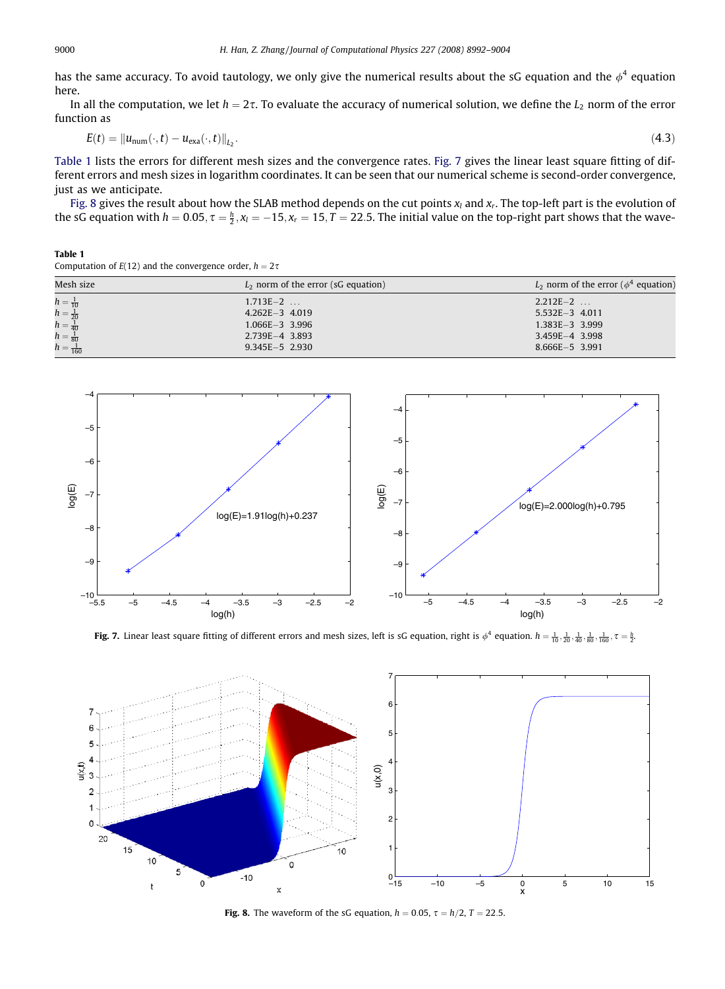<span id="page-8-0"></span>has the same accuracy. To avoid tautology, we only give the numerical results about the sG equation and the  $\phi^4$  equation here.

In all the computation, we let  $h = 2\tau$ . To evaluate the accuracy of numerical solution, we define the  $L_2$  norm of the error function as

$$
E(t) = \|u_{\text{num}}(\cdot, t) - u_{\text{exa}}(\cdot, t)\|_{L_2}.\tag{4.3}
$$

Table 1 lists the errors for different mesh sizes and the convergence rates. Fig. 7 gives the linear least square fitting of different errors and mesh sizes in logarithm coordinates. It can be seen that our numerical scheme is second-order convergence, just as we anticipate.

Fig. 8 gives the result about how the SLAB method depends on the cut points  $x_l$  and  $x_r$ . The top-left part is the evolution of the sG equation with  $h = 0.05$ ,  $\tau = \frac{h}{2}$ ,  $x_l = -15$ ,  $x_r = 15$ ,  $T = 22.5$ . The initial value on the top-right part shows that the wave-

#### Table 1 Computation of  $E(12)$  and the convergence order,  $h = 2\tau$

| Mesh size                                                      | $L2$ norm of the error (sG equation) | $L_2$ norm of the error ( $\phi^4$ equation) |
|----------------------------------------------------------------|--------------------------------------|----------------------------------------------|
| $h = \frac{1}{10}$<br>$h = \frac{1}{20}$<br>$h = \frac{1}{40}$ | $1.713E - 2$                         | $2.212E - 2$                                 |
|                                                                | $4.262E - 3$ 4.019                   | $5.532E - 3$ 4.011                           |
|                                                                | $1.066E - 3$ 3.996                   | $1.383E - 3$ 3.999                           |
| $h = \frac{1}{80}$                                             | $2.739E-4$ 3.893                     | $3.459E - 4$ 3.998                           |
| $h = \frac{1}{160}$                                            | $9.345E - 5$ 2.930                   | $8.666E - 5$ 3.991                           |



**Fig. 7.** Linear least square fitting of different errors and mesh sizes, left is sG equation, right is  $\phi^4$  equation.  $h=\frac{1}{10},\frac{1}{20},\frac{1}{40},\frac{1}{80},\frac{1}{160},\tau=\frac{h}{2}$ .



**Fig. 8.** The waveform of the sG equation,  $h = 0.05$ ,  $\tau = h/2$ ,  $T = 22.5$ .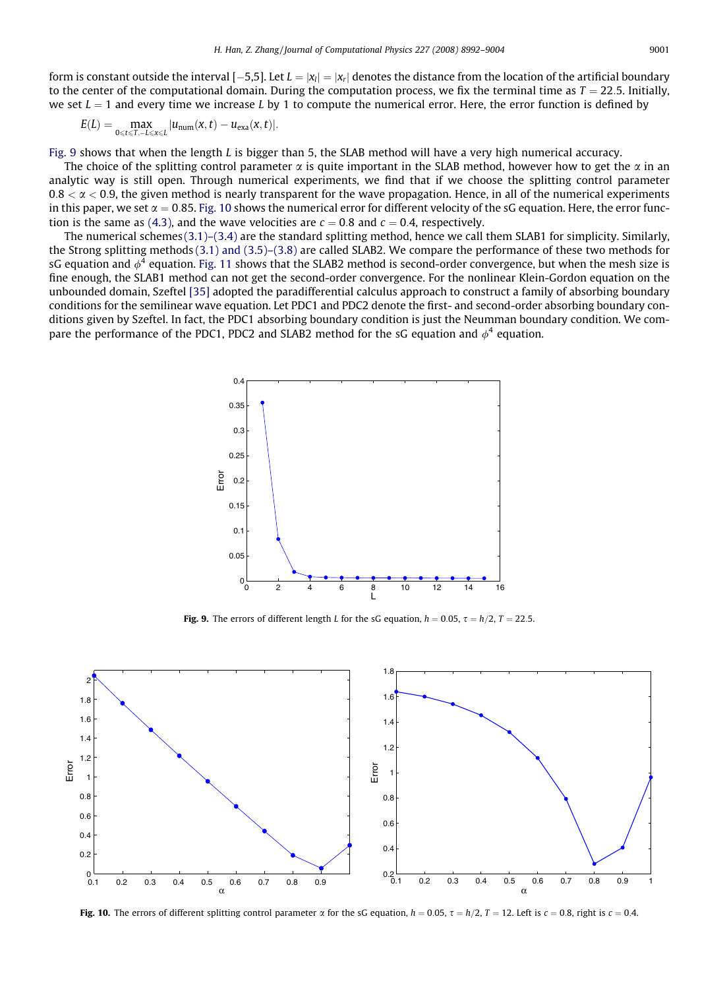form is constant outside the interval [–5,5]. Let  $L=|x_l|=|x_r|$  denotes the distance from the location of the artificial boundary to the center of the computational domain. During the computation process, we fix the terminal time as  $T = 22.5$ . Initially, we set  $L = 1$  and every time we increase L by 1 to compute the numerical error. Here, the error function is defined by

$$
E(L) = \max_{0 \leq t \leq T, -L \leq x \leq L} |u_{\text{num}}(x, t) - u_{\text{exa}}(x, t)|.
$$

Fig. 9 shows that when the length  $L$  is bigger than 5, the SLAB method will have a very high numerical accuracy.

The choice of the splitting control parameter  $\alpha$  is quite important in the SLAB method, however how to get the  $\alpha$  in an analytic way is still open. Through numerical experiments, we find that if we choose the splitting control parameter  $0.8 < \alpha < 0.9$ , the given method is nearly transparent for the wave propagation. Hence, in all of the numerical experiments in this paper, we set  $\alpha = 0.85$ . Fig. 10 shows the numerical error for different velocity of the sG equation. Here, the error func-tion is the same as [\(4.3\),](#page-8-0) and the wave velocities are  $c = 0.8$  and  $c = 0.4$ , respectively.

The numerical schemes [\(3.1\)–\(3.4\)](#page-3-0) are the standard splitting method, hence we call them SLAB1 for simplicity. Similarly, the Strong splitting methods [\(3.1\) and \(3.5\)–\(3.8\)](#page-3-0) are called SLAB2. We compare the performance of these two methods for sG equation and  $\phi^4$  equation. [Fig. 11](#page-10-0) shows that the SLAB2 method is second-order convergence, but when the mesh size is fine enough, the SLAB1 method can not get the second-order convergence. For the nonlinear Klein-Gordon equation on the unbounded domain, Szeftel [\[35\]](#page-12-0) adopted the paradifferential calculus approach to construct a family of absorbing boundary conditions for the semilinear wave equation. Let PDC1 and PDC2 denote the first- and second-order absorbing boundary conditions given by Szeftel. In fact, the PDC1 absorbing boundary condition is just the Neumman boundary condition. We compare the performance of the PDC1, PDC2 and SLAB2 method for the sG equation and  $\phi^4$  equation.



Fig. 9. The errors of different length L for the sG equation,  $h = 0.05$ ,  $\tau = h/2$ ,  $T = 22.5$ .



Fig. 10. The errors of different splitting control parameter  $\alpha$  for the sG equation,  $h = 0.05$ ,  $\tau = h/2$ ,  $T = 12$ . Left is  $c = 0.8$ , right is  $c = 0.4$ .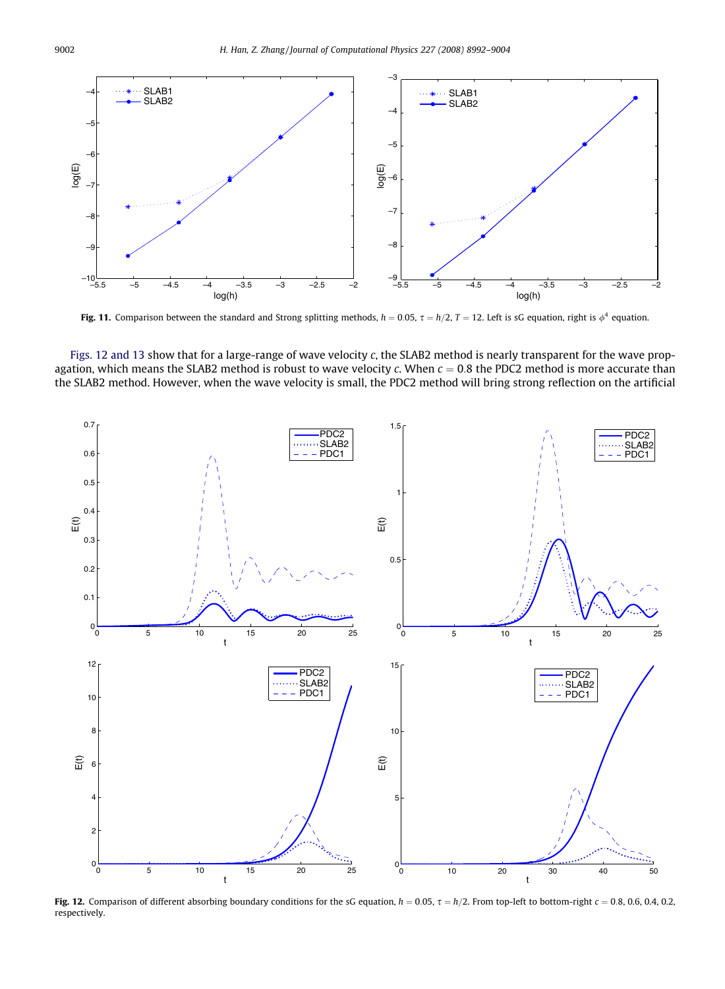<span id="page-10-0"></span>

Fig. 11. Comparison between the standard and Strong splitting methods,  $h = 0.05$ ,  $\tau = h/2$ ,  $T = 12$ . Left is sG equation, right is  $\phi^4$  equation.





Fig. 12. Comparison of different absorbing boundary conditions for the sG equation,  $h = 0.05$ ,  $\tau = h/2$ . From top-left to bottom-right  $c = 0.8$ , 0.6, 0.4, 0.2, respectively.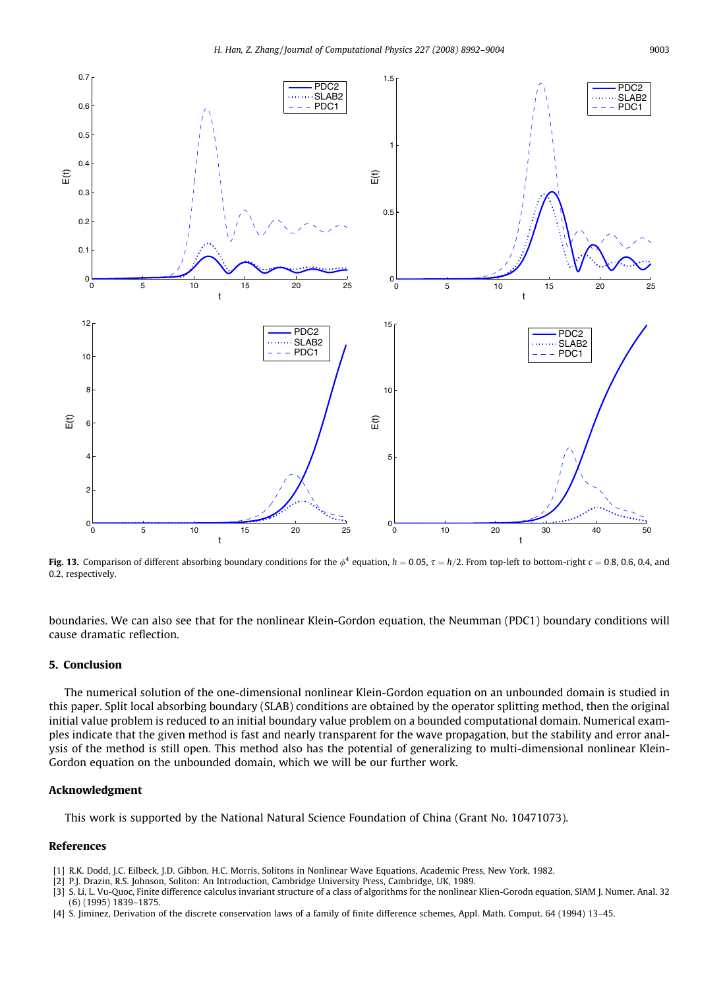<span id="page-11-0"></span>

Fig. 13. Comparison of different absorbing boundary conditions for the  $\phi^4$  equation,  $h = 0.05$ ,  $\tau = h/2$ . From top-left to bottom-right  $c = 0.8$ , 0.6, 0.4, and 0.2, respectively.

boundaries. We can also see that for the nonlinear Klein-Gordon equation, the Neumman (PDC1) boundary conditions will cause dramatic reflection.

## 5. Conclusion

The numerical solution of the one-dimensional nonlinear Klein-Gordon equation on an unbounded domain is studied in this paper. Split local absorbing boundary (SLAB) conditions are obtained by the operator splitting method, then the original initial value problem is reduced to an initial boundary value problem on a bounded computational domain. Numerical examples indicate that the given method is fast and nearly transparent for the wave propagation, but the stability and error analysis of the method is still open. This method also has the potential of generalizing to multi-dimensional nonlinear Klein-Gordon equation on the unbounded domain, which we will be our further work.

#### Acknowledgment

This work is supported by the National Natural Science Foundation of China (Grant No. 10471073).

#### References

- [1] R.K. Dodd, J.C. Eilbeck, J.D. Gibbon, H.C. Morris, Solitons in Nonlinear Wave Equations, Academic Press, New York, 1982.
- [2] P.J. Drazin, R.S. Johnson, Soliton: An Introduction, Cambridge University Press, Cambridge, UK, 1989.
- [3] S. Li, L. Vu-Quoc, Finite difference calculus invariant structure of a class of algorithms for the nonlinear Klien-Gorodn equation, SIAM J. Numer. Anal. 32 (6) (1995) 1839–1875.
- [4] S. Jiminez, Derivation of the discrete conservation laws of a family of finite difference schemes, Appl. Math. Comput. 64 (1994) 13–45.